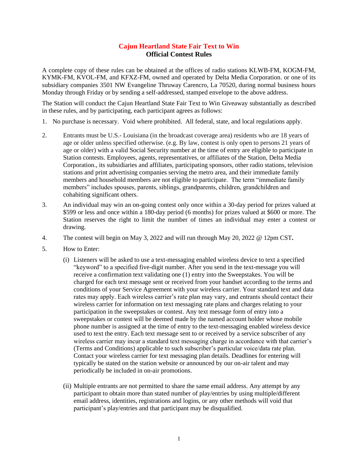## **Cajun Heartland State Fair Text to Win Official Contest Rules**

A complete copy of these rules can be obtained at the offices of radio stations KLWB-FM, KOGM-FM, KYMK-FM, KVOL-FM, and KFXZ-FM, owned and operated by Delta Media Corporation. or one of its subsidiary companies 3501 NW Evangeline Thruway Carencro, La 70520, during normal business hours Monday through Friday or by sending a self-addressed, stamped envelope to the above address.

The Station will conduct the Cajun Heartland State Fair Text to Win Giveaway substantially as described in these rules, and by participating, each participant agrees as follows:

- 1. No purchase is necessary. Void where prohibited. All federal, state, and local regulations apply.
- 2. Entrants must be U.S.- Louisiana (in the broadcast coverage area) residents who are 18 years of age or older unless specified otherwise. (e.g. By law, contest is only open to persons 21 years of age or older) with a valid Social Security number at the time of entry are eligible to participate in Station contests. Employees, agents, representatives, or affiliates of the Station, Delta Media Corporation., its subsidiaries and affiliates, participating sponsors, other radio stations, television stations and print advertising companies serving the metro area, and their immediate family members and household members are not eligible to participate. The term "immediate family members" includes spouses, parents, siblings, grandparents, children, grandchildren and cohabiting significant others.
- 3. An individual may win an on-going contest only once within a 30-day period for prizes valued at \$599 or less and once within a 180-day period (6 months) for prizes valued at \$600 or more. The Station reserves the right to limit the number of times an individual may enter a contest or drawing.
- 4. The contest will begin on May 3, 2022 and will run through May 20, 2022 @ 12pm CST**.**
- 5. How to Enter:
	- (i) Listeners will be asked to use a text-messaging enabled wireless device to text a specified "keyword" to a specified five-digit number. After you send in the text-message you will receive a confirmation text validating one (1) entry into the Sweepstakes. You will be charged for each text message sent or received from your handset according to the terms and conditions of your Service Agreement with your wireless carrier. Your standard text and data rates may apply. Each wireless carrier's rate plan may vary, and entrants should contact their wireless carrier for information on text messaging rate plans and charges relating to your participation in the sweepstakes or contest. Any text message form of entry into a sweepstakes or contest will be deemed made by the named account holder whose mobile phone number is assigned at the time of entry to the text-messaging enabled wireless device used to text the entry. Each text message sent to or received by a service subscriber of any wireless carrier may incur a standard text messaging charge in accordance with that carrier's (Terms and Conditions) applicable to such subscriber's particular voice/data rate plan. Contact your wireless carrier for text messaging plan details. Deadlines for entering will typically be stated on the station website or announced by our on-air talent and may periodically be included in on-air promotions.
	- (ii) Multiple entrants are not permitted to share the same email address. Any attempt by any participant to obtain more than stated number of play/entries by using multiple/different email address, identities, registrations and logins, or any other methods will void that participant's play/entries and that participant may be disqualified.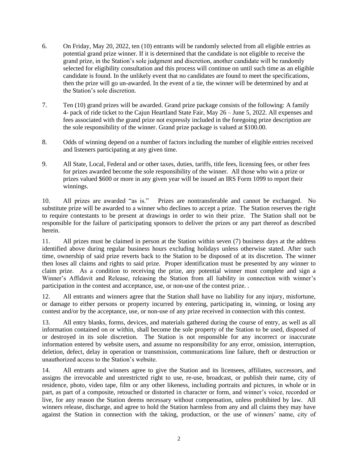- 6. On Friday, May 20, 2022, ten (10) entrants will be randomly selected from all eligible entries as potential grand prize winner. If it is determined that the candidate is not eligible to receive the grand prize, in the Station's sole judgment and discretion, another candidate will be randomly selected for eligibility consultation and this process will continue on until such time as an eligible candidate is found. In the unlikely event that no candidates are found to meet the specifications, then the prize will go un-awarded. In the event of a tie, the winner will be determined by and at the Station's sole discretion.
- 7. Ten (10) grand prizes will be awarded. Grand prize package consists of the following: A family 4- pack of ride ticket to the Cajun Heartland State Fair, May 26 – June 5, 2022. All expenses and fees associated with the grand prize not expressly included in the foregoing prize description are the sole responsibility of the winner. Grand prize package is valued at \$100.00.
- 8. Odds of winning depend on a number of factors including the number of eligible entries received and listeners participating at any given time.
- 9. All State, Local, Federal and or other taxes, duties, tariffs, title fees, licensing fees, or other fees for prizes awarded become the sole responsibility of the winner. All those who win a prize or prizes valued \$600 or more in any given year will be issued an IRS Form 1099 to report their winnings.

10. All prizes are awarded "as is." Prizes are nontransferable and cannot be exchanged. No substitute prize will be awarded to a winner who declines to accept a prize. The Station reserves the right to require contestants to be present at drawings in order to win their prize. The Station shall not be responsible for the failure of participating sponsors to deliver the prizes or any part thereof as described herein.

11. All prizes must be claimed in person at the Station within seven (7) business days at the address identified above during regular business hours excluding holidays unless otherwise stated. After such time, ownership of said prize reverts back to the Station to be disposed of at its discretion. The winner then loses all claims and rights to said prize. Proper identification must be presented by any winner to claim prize. As a condition to receiving the prize, any potential winner must complete and sign a Winner's Affidavit and Release, releasing the Station from all liability in connection with winner's participation in the contest and acceptance, use, or non-use of the contest prize. .

12. All entrants and winners agree that the Station shall have no liability for any injury, misfortune, or damage to either persons or property incurred by entering, participating in, winning, or losing any contest and/or by the acceptance, use, or non-use of any prize received in connection with this contest.

13. All entry blanks, forms, devices, and materials gathered during the course of entry, as well as all information contained on or within, shall become the sole property of the Station to be used, disposed of or destroyed in its sole discretion. The Station is not responsible for any incorrect or inaccurate information entered by website users, and assume no responsibility for any error, omission, interruption, deletion, defect, delay in operation or transmission, communications line failure, theft or destruction or unauthorized access to the Station's website.

14. All entrants and winners agree to give the Station and its licensees, affiliates, successors, and assigns the irrevocable and unrestricted right to use, re-use, broadcast, or publish their name, city of residence, photo, video tape, film or any other likeness, including portraits and pictures, in whole or in part, as part of a composite, retouched or distorted in character or form, and winner's voice, recorded or live, for any reason the Station deems necessary without compensation, unless prohibited by law. All winners release, discharge, and agree to hold the Station harmless from any and all claims they may have against the Station in connection with the taking, production, or the use of winners' name, city of